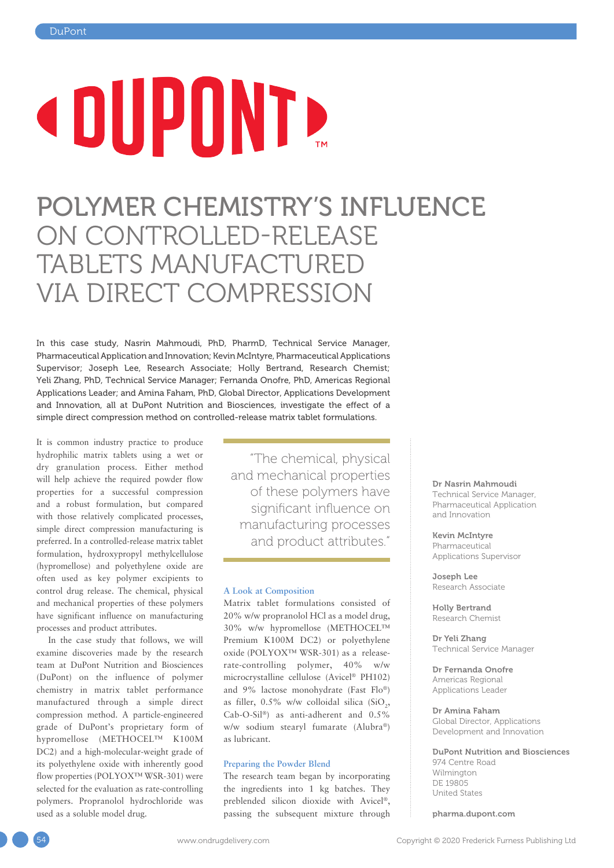# **COUPONT**

## POLYMER CHEMISTRY'S INFLUENCE ON CONTROLLED-RELEASE TABLETS MANUFACTURED VIA DIRECT COMPRESSION

In this case study, Nasrin Mahmoudi, PhD, PharmD, Technical Service Manager, Pharmaceutical Application and Innovation; Kevin McIntyre, Pharmaceutical Applications Supervisor; Joseph Lee, Research Associate; Holly Bertrand, Research Chemist; Yeli Zhang, PhD, Technical Service Manager; Fernanda Onofre, PhD, Americas Regional Applications Leader; and Amina Faham, PhD, Global Director, Applications Development and Innovation, all at DuPont Nutrition and Biosciences, investigate the effect of a simple direct compression method on controlled-release matrix tablet formulations.

It is common industry practice to produce hydrophilic matrix tablets using a wet or dry granulation process. Either method will help achieve the required powder flow properties for a successful compression and a robust formulation, but compared with those relatively complicated processes, simple direct compression manufacturing is preferred. In a controlled-release matrix tablet formulation, hydroxypropyl methylcellulose (hypromellose) and polyethylene oxide are often used as key polymer excipients to control drug release. The chemical, physical and mechanical properties of these polymers have significant influence on manufacturing processes and product attributes.

In the case study that follows, we will examine discoveries made by the research team at DuPont Nutrition and Biosciences (DuPont) on the influence of polymer chemistry in matrix tablet performance manufactured through a simple direct compression method. A particle-engineered grade of DuPont's proprietary form of hypromellose (METHOCEL™ K100M DC2) and a high-molecular-weight grade of its polyethylene oxide with inherently good flow properties (POLYOX™ WSR-301) were selected for the evaluation as rate-controlling polymers. Propranolol hydrochloride was used as a soluble model drug.

"The chemical, physical and mechanical properties of these polymers have significant influence on manufacturing processes and product attributes."

#### **A Look at Composition**

Matrix tablet formulations consisted of 20% w/w propranolol HCl as a model drug, 30% w/w hypromellose (METHOCEL™ Premium K100M DC2) or polyethylene oxide (POLYOX™ WSR-301) as a releaserate-controlling polymer, 40% w/w microcrystalline cellulose (Avicel® PH102) and 9% lactose monohydrate (Fast Flo®) as filler,  $0.5\%$  w/w colloidal silica (SiO<sub>2</sub>, Cab-O-Sil®) as anti-adherent and 0.5% w/w sodium stearyl fumarate (Alubra®) as lubricant.

#### **Preparing the Powder Blend**

The research team began by incorporating the ingredients into 1 kg batches. They preblended silicon dioxide with Avicel®, passing the subsequent mixture through Dr Nasrin Mahmoudi

Technical Service Manager, Pharmaceutical Application and Innovation

Kevin McIntyre Pharmaceutical Applications Supervisor

Joseph Lee Research Associate

Holly Bertrand Research Chemist

Dr Yeli Zhang Technical Service Manager

Dr Fernanda Onofre Americas Regional Applications Leader

Dr Amina Faham Global Director, Applications Development and Innovation

DuPont Nutrition and Biosciences 974 Centre Road Wilmington DE 19805 United States

[pharma.dupont.com](http://pharma.dupont.com)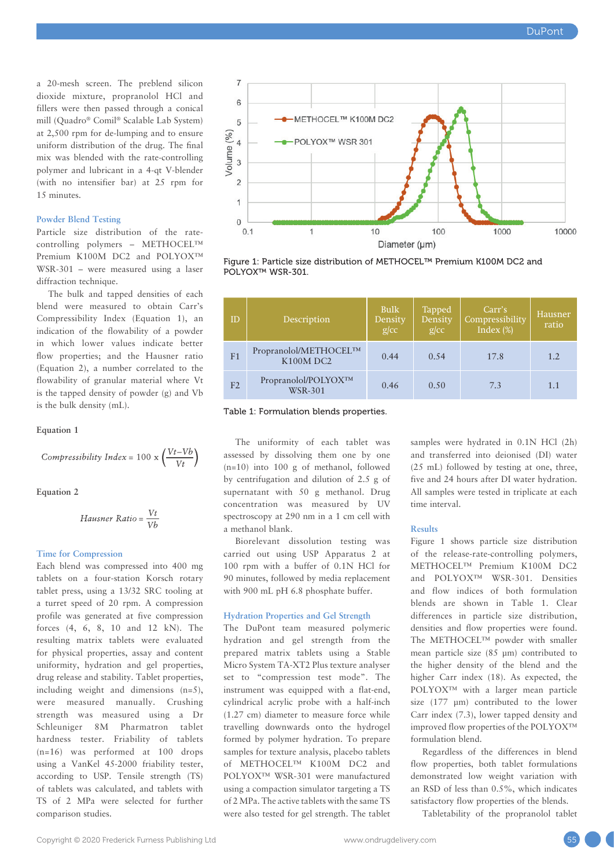a 20-mesh screen. The preblend silicon dioxide mixture, propranolol HCl and fillers were then passed through a conical mill (Quadro® Comil® Scalable Lab System) at 2,500 rpm for de-lumping and to ensure uniform distribution of the drug. The final mix was blended with the rate-controlling polymer and lubricant in a 4-qt V-blender (with no intensifier bar) at 25 rpm for 15 minutes.

#### **Powder Blend Testing**

Particle size distribution of the ratecontrolling polymers – METHOCEL™ Premium K100M DC2 and POLYOX™ WSR-301 – were measured using a laser diffraction technique.

The bulk and tapped densities of each blend were measured to obtain Carr's Compressibility Index (Equation 1), an indication of the flowability of a powder in which lower values indicate better flow properties; and the Hausner ratio (Equation 2), a number correlated to the flowability of granular material where Vt is the tapped density of powder (g) and Vb is the bulk density (mL).

#### **Equation 1**

Compressibility Index = 100 x 
$$
\left(\frac{Vt - Vb}{Vt}\right)
$$

**Equation 2**

$$
Hausner Ratio = \frac{Vt}{Vb}
$$

#### **Time for Compression**

Each blend was compressed into 400 mg tablets on a four-station Korsch rotary tablet press, using a 13/32 SRC tooling at a turret speed of 20 rpm. A compression profile was generated at five compression forces (4, 6, 8, 10 and 12 kN). The resulting matrix tablets were evaluated for physical properties, assay and content uniformity, hydration and gel properties, drug release and stability. Tablet properties, including weight and dimensions (n=5), were measured manually. Crushing strength was measured using a Dr Schleuniger 8M Pharmatron tablet hardness tester. Friability of tablets (n=16) was performed at 100 drops using a VanKel 45-2000 friability tester, according to USP. Tensile strength (TS) of tablets was calculated, and tablets with TS of 2 MPa were selected for further comparison studies.



Figure 1: Particle size distribution of METHOCEL™ Premium K100M DC2 and POLYOX™ WSR-301.

| ID             | Description                                        | <b>Bulk</b><br>Density<br>$g$ /cc | <b>Tapped</b><br>Density<br>$g$ / $cc$ | Carr's<br>Compressibility<br>Index $(\%)$ | Hausner<br>ratio |
|----------------|----------------------------------------------------|-----------------------------------|----------------------------------------|-------------------------------------------|------------------|
| F <sub>1</sub> | Propranolol/METHOCELTM<br><b>K100M DC2</b>         | 0.44                              | 0.54                                   | 17.8                                      | 1.2              |
| F <sub>2</sub> | Propranolol/POLYOX <sup>TM</sup><br><b>WSR-301</b> | 0.46                              | 0.50                                   | 7.3                                       | 1.1              |

Table 1: Formulation blends properties.

The uniformity of each tablet was assessed by dissolving them one by one (n=10) into 100 g of methanol, followed by centrifugation and dilution of 2.5 g of supernatant with 50 g methanol. Drug concentration was measured by UV spectroscopy at 290 nm in a 1 cm cell with a methanol blank.

Biorelevant dissolution testing was carried out using USP Apparatus 2 at 100 rpm with a buffer of 0.1N HCl for 90 minutes, followed by media replacement with 900 mL pH 6.8 phosphate buffer.

#### **Hydration Properties and Gel Strength**

The DuPont team measured polymeric hydration and gel strength from the prepared matrix tablets using a Stable Micro System TA-XT2 Plus texture analyser set to "compression test mode". The instrument was equipped with a flat-end, cylindrical acrylic probe with a half-inch (1.27 cm) diameter to measure force while travelling downwards onto the hydrogel formed by polymer hydration. To prepare samples for texture analysis, placebo tablets of METHOCEL™ K100M DC2 and POLYOX™ WSR-301 were manufactured using a compaction simulator targeting a TS of 2 MPa. The active tablets with the same TS were also tested for gel strength. The tablet samples were hydrated in 0.1N HCl (2h) and transferred into deionised (DI) water (25 mL) followed by testing at one, three, five and 24 hours after DI water hydration. All samples were tested in triplicate at each time interval.

#### **Results**

Figure 1 shows particle size distribution of the release-rate-controlling polymers, METHOCEL™ Premium K100M DC2 and POLYOX™ WSR-301. Densities and flow indices of both formulation blends are shown in Table 1. Clear differences in particle size distribution, densities and flow properties were found. The METHOCEL™ powder with smaller mean particle size (85 µm) contributed to the higher density of the blend and the higher Carr index (18). As expected, the POLYOX™ with a larger mean particle size (177 µm) contributed to the lower Carr index (7.3), lower tapped density and improved flow properties of the POLYOX™ formulation blend.

Regardless of the differences in blend flow properties, both tablet formulations demonstrated low weight variation with an RSD of less than 0.5%, which indicates satisfactory flow properties of the blends.

Tabletability of the propranolol tablet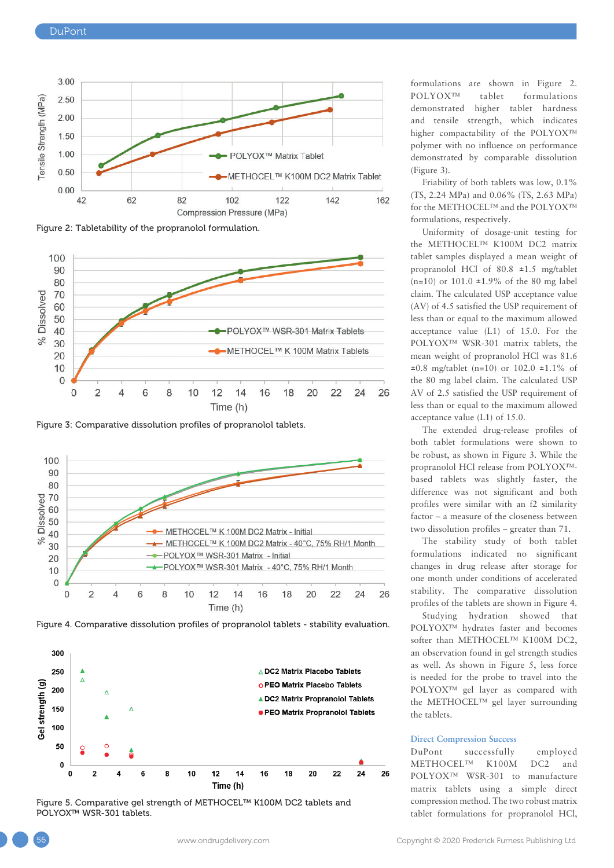

Figure 2: Tabletability of the propranolol formulation.



Figure 3: Comparative dissolution profiles of propranolol tablets.



Figure 4. Comparative dissolution profiles of propranolol tablets - stability evaluation.



Figure 5. Comparative gel strength of METHOCEL™ K100M DC2 tablets and POLYOX™ WSR-301 tablets.

formulations are shown in Figure 2. POLYOX™ tablet formulations demonstrated higher tablet hardness and tensile strength, which indicates higher compactability of the POLYOX™ polymer with no influence on performance demonstrated by comparable dissolution (Figure 3).

Friability of both tablets was low, 0.1% (TS, 2.24 MPa) and 0.06% (TS, 2.63 MPa) for the METHOCEL™ and the POLYOX™ formulations, respectively.

Uniformity of dosage-unit testing for the METHOCEL™ K100M DC2 matrix tablet samples displayed a mean weight of propranolol HCl of 80.8 ±1.5 mg/tablet  $(n=10)$  or 101.0  $\pm 1.9\%$  of the 80 mg label claim. The calculated USP acceptance value (AV) of 4.5 satisfied the USP requirement of less than or equal to the maximum allowed acceptance value (L1) of 15.0. For the POLYOX™ WSR-301 matrix tablets, the mean weight of propranolol HCl was 81.6  $\pm 0.8$  mg/tablet (n=10) or 102.0  $\pm 1.1\%$  of the 80 mg label claim. The calculated USP AV of 2.5 satisfied the USP requirement of less than or equal to the maximum allowed acceptance value (L1) of 15.0.

The extended drug-release profiles of both tablet formulations were shown to be robust, as shown in Figure 3. While the propranolol HCl release from POLYOX™ based tablets was slightly faster, the difference was not significant and both profiles were similar with an f2 similarity factor – a measure of the closeness between two dissolution profiles – greater than 71.

The stability study of both tablet formulations indicated no significant changes in drug release after storage for one month under conditions of accelerated stability. The comparative dissolution profiles of the tablets are shown in Figure 4.

Studying hydration showed that POLYOX™ hydrates faster and becomes softer than METHOCEL™ K100M DC2. an observation found in gel strength studies as well. As shown in Figure 5, less force is needed for the probe to travel into the POLYOX™ gel layer as compared with the METHOCEL™ gel layer surrounding the tablets.

#### **Direct Compression Success**

DuPont successfully employed METHOCEL™ K100M DC2 and POLYOX™ WSR-301 to manufacture matrix tablets using a simple direct compression method. The two robust matrix tablet formulations for propranolol HCl,